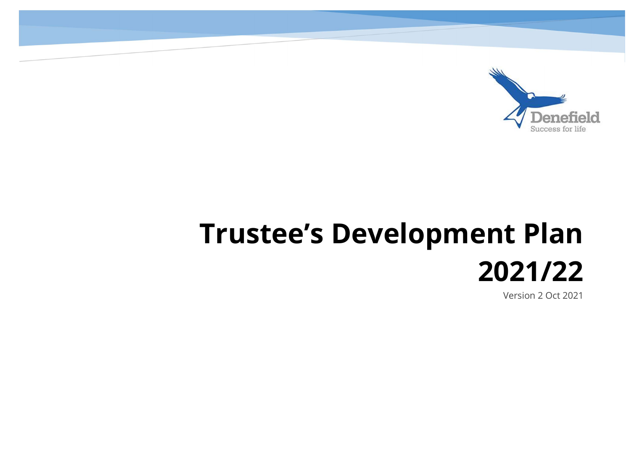

## Trustee's Development Plan 2021/22

Version 2 Oct 2021